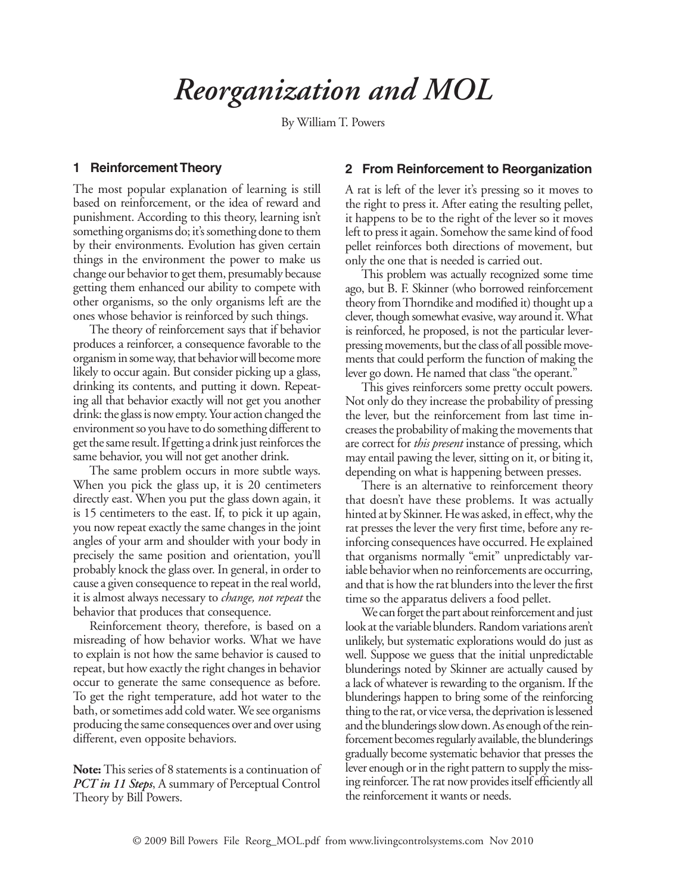# *Reorganization and MOL*

By William T. Powers

## **1 Reinforcement Theory**

The most popular explanation of learning is still based on reinforcement, or the idea of reward and punishment. According to this theory, learning isn't something organisms do; it's something done to them by their environments. Evolution has given certain things in the environment the power to make us change our behavior to get them, presumably because getting them enhanced our ability to compete with other organisms, so the only organisms left are the ones whose behavior is reinforced by such things.

The theory of reinforcement says that if behavior produces a reinforcer, a consequence favorable to the organism in some way, that behavior will become more likely to occur again. But consider picking up a glass, drinking its contents, and putting it down. Repeating all that behavior exactly will not get you another drink: the glass is now empty. Your action changed the environment so you have to do something different to get the same result. If getting a drink just reinforces the same behavior, you will not get another drink.

The same problem occurs in more subtle ways. When you pick the glass up, it is 20 centimeters directly east. When you put the glass down again, it is 15 centimeters to the east. If, to pick it up again, you now repeat exactly the same changes in the joint angles of your arm and shoulder with your body in precisely the same position and orientation, you'll probably knock the glass over. In general, in order to cause a given consequence to repeat in the real world, it is almost always necessary to *change, not repeat* the behavior that produces that consequence.

Reinforcement theory, therefore, is based on a misreading of how behavior works. What we have to explain is not how the same behavior is caused to repeat, but how exactly the right changes in behavior occur to generate the same consequence as before. To get the right temperature, add hot water to the bath, or sometimes add cold water. We see organisms producing the same consequences over and over using different, even opposite behaviors.

**Note:** This series of 8 statements is a continuation of *PCT in 11 Steps*, A summary of Perceptual Control Theory by Bill Powers.

## **2 From Reinforcement to Reorganization**

A rat is left of the lever it's pressing so it moves to the right to press it. After eating the resulting pellet, it happens to be to the right of the lever so it moves left to press it again. Somehow the same kind of food pellet reinforces both directions of movement, but only the one that is needed is carried out.

This problem was actually recognized some time ago, but B. F. Skinner (who borrowed reinforcement theory from Thorndike and modified it) thought up a clever, though somewhat evasive, way around it. What is reinforced, he proposed, is not the particular leverpressing movements, but the class of all possible movements that could perform the function of making the lever go down. He named that class "the operant."

This gives reinforcers some pretty occult powers. Not only do they increase the probability of pressing the lever, but the reinforcement from last time increases the probability of making the movements that are correct for *this present* instance of pressing, which may entail pawing the lever, sitting on it, or biting it, depending on what is happening between presses.

There is an alternative to reinforcement theory that doesn't have these problems. It was actually hinted at by Skinner. He was asked, in effect, why the rat presses the lever the very first time, before any reinforcing consequences have occurred. He explained that organisms normally "emit" unpredictably variable behavior when no reinforcements are occurring, and that is how the rat blunders into the lever the first time so the apparatus delivers a food pellet.

We can forget the part about reinforcement and just look at the variable blunders. Random variations aren't unlikely, but systematic explorations would do just as well. Suppose we guess that the initial unpredictable blunderings noted by Skinner are actually caused by a lack of whatever is rewarding to the organism. If the blunderings happen to bring some of the reinforcing thing to the rat, or vice versa, the deprivation is lessened and the blunderings slow down. As enough of the reinforcement becomes regularly available, the blunderings gradually become systematic behavior that presses the lever enough or in the right pattern to supply the missing reinforcer. The rat now provides itself efficiently all the reinforcement it wants or needs.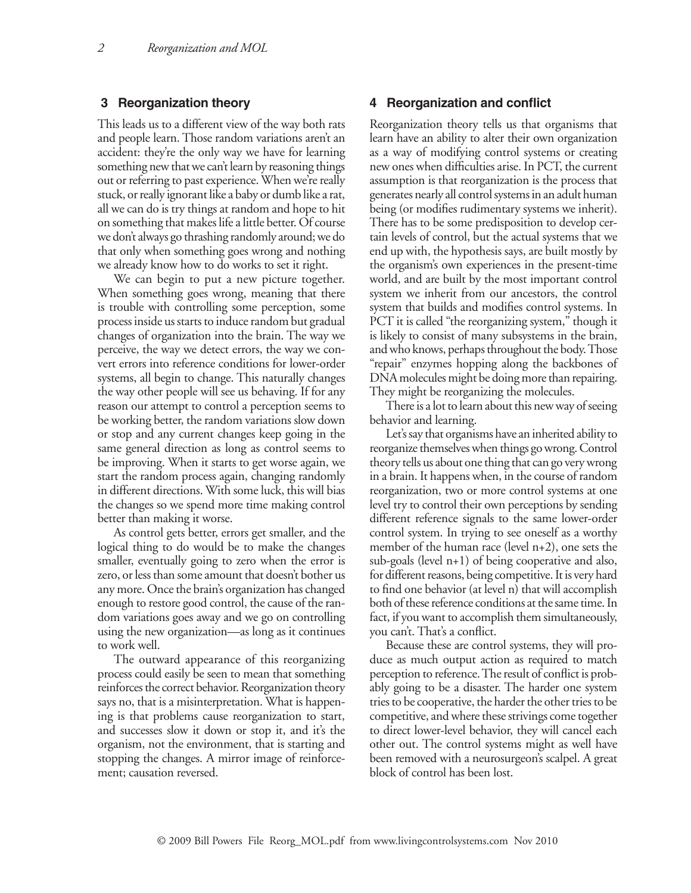#### **3 Reorganization theory**

This leads us to a different view of the way both rats and people learn. Those random variations aren't an accident: they're the only way we have for learning something new that we can't learn by reasoning things out or referring to past experience. When we're really stuck, or really ignorant like a baby or dumb like a rat, all we can do is try things at random and hope to hit on something that makes life a little better. Of course we don't always go thrashing randomly around; we do that only when something goes wrong and nothing we already know how to do works to set it right.

We can begin to put a new picture together. When something goes wrong, meaning that there is trouble with controlling some perception, some process inside us starts to induce random but gradual changes of organization into the brain. The way we perceive, the way we detect errors, the way we convert errors into reference conditions for lower-order systems, all begin to change. This naturally changes the way other people will see us behaving. If for any reason our attempt to control a perception seems to be working better, the random variations slow down or stop and any current changes keep going in the same general direction as long as control seems to be improving. When it starts to get worse again, we start the random process again, changing randomly in different directions. With some luck, this will bias the changes so we spend more time making control better than making it worse.

As control gets better, errors get smaller, and the logical thing to do would be to make the changes smaller, eventually going to zero when the error is zero, or less than some amount that doesn't bother us any more. Once the brain's organization has changed enough to restore good control, the cause of the random variations goes away and we go on controlling using the new organization—as long as it continues to work well.

The outward appearance of this reorganizing process could easily be seen to mean that something reinforces the correct behavior. Reorganization theory says no, that is a misinterpretation. What is happening is that problems cause reorganization to start, and successes slow it down or stop it, and it's the organism, not the environment, that is starting and stopping the changes. A mirror image of reinforcement; causation reversed.

#### **4 Reorganization and conflict**

Reorganization theory tells us that organisms that learn have an ability to alter their own organization as a way of modifying control systems or creating new ones when difficulties arise. In PCT, the current assumption is that reorganization is the process that generates nearly all control systems in an adult human being (or modifies rudimentary systems we inherit). There has to be some predisposition to develop certain levels of control, but the actual systems that we end up with, the hypothesis says, are built mostly by the organism's own experiences in the present-time world, and are built by the most important control system we inherit from our ancestors, the control system that builds and modifies control systems. In PCT it is called "the reorganizing system," though it is likely to consist of many subsystems in the brain, and who knows, perhaps throughout the body. Those "repair" enzymes hopping along the backbones of DNA molecules might be doing more than repairing. They might be reorganizing the molecules.

There is a lot to learn about this new way of seeing behavior and learning.

Let's say that organisms have an inherited ability to reorganize themselves when things go wrong. Control theory tells us about one thing that can go very wrong in a brain. It happens when, in the course of random reorganization, two or more control systems at one level try to control their own perceptions by sending different reference signals to the same lower-order control system. In trying to see oneself as a worthy member of the human race (level n+2), one sets the sub-goals (level n+1) of being cooperative and also, for different reasons, being competitive. It is very hard to find one behavior (at level n) that will accomplish both of these reference conditions at the same time. In fact, if you want to accomplish them simultaneously, you can't. That's a conflict.

Because these are control systems, they will produce as much output action as required to match perception to reference. The result of conflict is probably going to be a disaster. The harder one system tries to be cooperative, the harder the other tries to be competitive, and where these strivings come together to direct lower-level behavior, they will cancel each other out. The control systems might as well have been removed with a neurosurgeon's scalpel. A great block of control has been lost.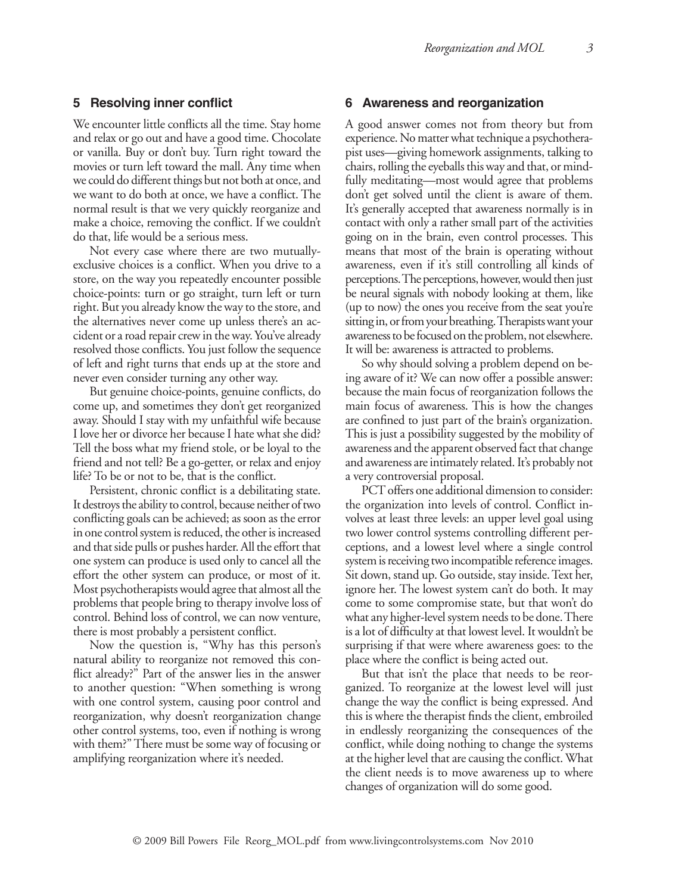### **5 Resolving inner conflict**

We encounter little conflicts all the time. Stay home and relax or go out and have a good time. Chocolate or vanilla. Buy or don't buy. Turn right toward the movies or turn left toward the mall. Any time when we could do different things but not both at once, and we want to do both at once, we have a conflict. The normal result is that we very quickly reorganize and make a choice, removing the conflict. If we couldn't do that, life would be a serious mess.

Not every case where there are two mutuallyexclusive choices is a conflict. When you drive to a store, on the way you repeatedly encounter possible choice-points: turn or go straight, turn left or turn right. But you already know the way to the store, and the alternatives never come up unless there's an accident or a road repair crew in the way. You've already resolved those conflicts. You just follow the sequence of left and right turns that ends up at the store and never even consider turning any other way.

But genuine choice-points, genuine conflicts, do come up, and sometimes they don't get reorganized away. Should I stay with my unfaithful wife because I love her or divorce her because I hate what she did? Tell the boss what my friend stole, or be loyal to the friend and not tell? Be a go-getter, or relax and enjoy life? To be or not to be, that is the conflict.

Persistent, chronic conflict is a debilitating state. It destroys the ability to control, because neither of two conflicting goals can be achieved; as soon as the error in one control system is reduced, the other is increased and that side pulls or pushes harder. All the effort that one system can produce is used only to cancel all the effort the other system can produce, or most of it. Most psychotherapists would agree that almost all the problems that people bring to therapy involve loss of control. Behind loss of control, we can now venture, there is most probably a persistent conflict.

Now the question is, "Why has this person's natural ability to reorganize not removed this conflict already?" Part of the answer lies in the answer to another question: "When something is wrong with one control system, causing poor control and reorganization, why doesn't reorganization change other control systems, too, even if nothing is wrong with them?" There must be some way of focusing or amplifying reorganization where it's needed.

#### **6 Awareness and reorganization**

A good answer comes not from theory but from experience. No matter what technique a psychotherapist uses—giving homework assignments, talking to chairs, rolling the eyeballs this way and that, or mindfully meditating—most would agree that problems don't get solved until the client is aware of them. It's generally accepted that awareness normally is in contact with only a rather small part of the activities going on in the brain, even control processes. This means that most of the brain is operating without awareness, even if it's still controlling all kinds of perceptions. The perceptions, however, would then just be neural signals with nobody looking at them, like (up to now) the ones you receive from the seat you're sitting in, or from your breathing. Therapists want your awareness to be focused on the problem, not elsewhere. It will be: awareness is attracted to problems.

So why should solving a problem depend on being aware of it? We can now offer a possible answer: because the main focus of reorganization follows the main focus of awareness. This is how the changes are confined to just part of the brain's organization. This is just a possibility suggested by the mobility of awareness and the apparent observed fact that change and awareness are intimately related. It's probably not a very controversial proposal.

PCT offers one additional dimension to consider: the organization into levels of control. Conflict involves at least three levels: an upper level goal using two lower control systems controlling different perceptions, and a lowest level where a single control system is receiving two incompatible reference images. Sit down, stand up. Go outside, stay inside. Text her, ignore her. The lowest system can't do both. It may come to some compromise state, but that won't do what any higher-level system needs to be done. There is a lot of difficulty at that lowest level. It wouldn't be surprising if that were where awareness goes: to the place where the conflict is being acted out.

But that isn't the place that needs to be reorganized. To reorganize at the lowest level will just change the way the conflict is being expressed. And this is where the therapist finds the client, embroiled in endlessly reorganizing the consequences of the conflict, while doing nothing to change the systems at the higher level that are causing the conflict. What the client needs is to move awareness up to where changes of organization will do some good.